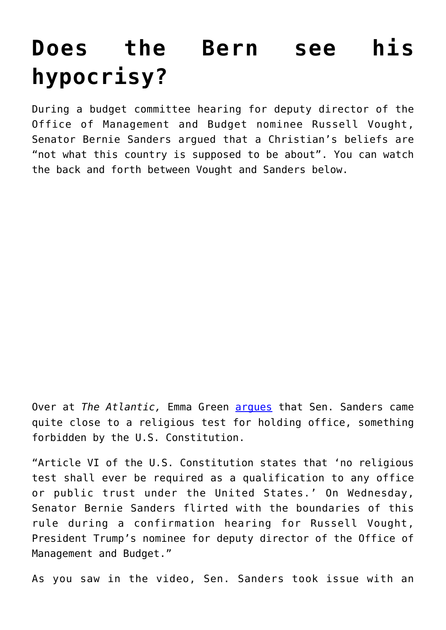## **[Does the Bern see his](https://intellectualtakeout.org/2017/06/does-the-bern-see-his-hypocrisy/) [hypocrisy?](https://intellectualtakeout.org/2017/06/does-the-bern-see-his-hypocrisy/)**

During a budget committee hearing for deputy director of the Office of Management and Budget nominee Russell Vought, Senator Bernie Sanders argued that a Christian's beliefs are "not what this country is supposed to be about". You can watch the back and forth between Vought and Sanders below.

Over at *The Atlantic,* Emma Green [argues](https://www.theatlantic.com/politics/archive/2017/06/bernie-sanders-chris-van-hollen-russell-vought/529614/) that Sen. Sanders came quite close to a religious test for holding office, something forbidden by the U.S. Constitution.

"Article VI of the U.S. Constitution states that 'no religious test shall ever be required as a qualification to any office or public trust under the United States.' On Wednesday, Senator Bernie Sanders flirted with the boundaries of this rule during a confirmation hearing for Russell Vought, President Trump's nominee for deputy director of the Office of Management and Budget."

As you saw in the video, Sen. Sanders took issue with an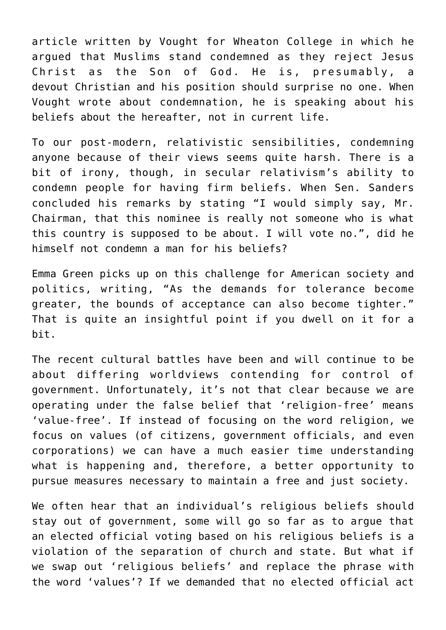article written by Vought for Wheaton College in which he argued that Muslims stand condemned as they reject Jesus Christ as the Son of God. He is, presumably, a devout Christian and his position should surprise no one. When Vought wrote about condemnation, he is speaking about his beliefs about the hereafter, not in current life.

To our post-modern, relativistic sensibilities, condemning anyone because of their views seems quite harsh. There is a bit of irony, though, in secular relativism's ability to condemn people for having firm beliefs. When Sen. Sanders concluded his remarks by stating "I would simply say, Mr. Chairman, that this nominee is really not someone who is what this country is supposed to be about. I will vote no.", did he himself not condemn a man for his beliefs?

Emma Green picks up on this challenge for American society and politics, writing, "As the demands for tolerance become greater, the bounds of acceptance can also become tighter." That is quite an insightful point if you dwell on it for a bit.

The recent cultural battles have been and will continue to be about differing worldviews contending for control of government. Unfortunately, it's not that clear because we are operating under the false belief that 'religion-free' means 'value-free'. If instead of focusing on the word religion, we focus on values (of citizens, government officials, and even corporations) we can have a much easier time understanding what is happening and, therefore, a better opportunity to pursue measures necessary to maintain a free and just society.

We often hear that an individual's religious beliefs should stay out of government, some will go so far as to argue that an elected official voting based on his religious beliefs is a violation of the separation of church and state. But what if we swap out 'religious beliefs' and replace the phrase with the word 'values'? If we demanded that no elected official act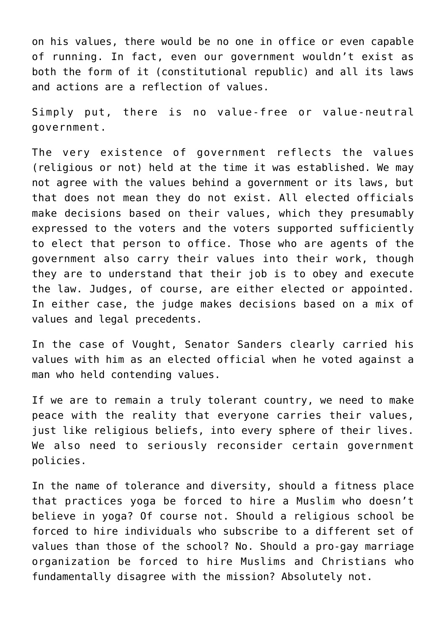on his values, there would be no one in office or even capable of running. In fact, even our government wouldn't exist as both the form of it (constitutional republic) and all its laws and actions are a reflection of values.

Simply put, there is no value-free or value-neutral government.

The very existence of government reflects the values (religious or not) held at the time it was established. We may not agree with the values behind a government or its laws, but that does not mean they do not exist. All elected officials make decisions based on their values, which they presumably expressed to the voters and the voters supported sufficiently to elect that person to office. Those who are agents of the government also carry their values into their work, though they are to understand that their job is to obey and execute the law. Judges, of course, are either elected or appointed. In either case, the judge makes decisions based on a mix of values and legal precedents.

In the case of Vought, Senator Sanders clearly carried his values with him as an elected official when he voted against a man who held contending values.

If we are to remain a truly tolerant country, we need to make peace with the reality that everyone carries their values, just like religious beliefs, into every sphere of their lives. We also need to seriously reconsider certain government policies.

In the name of tolerance and diversity, should a fitness place that practices yoga be forced to hire a Muslim who doesn't believe in yoga? Of course not. Should a religious school be forced to hire individuals who subscribe to a different set of values than those of the school? No. Should a pro-gay marriage organization be forced to hire Muslims and Christians who fundamentally disagree with the mission? Absolutely not.